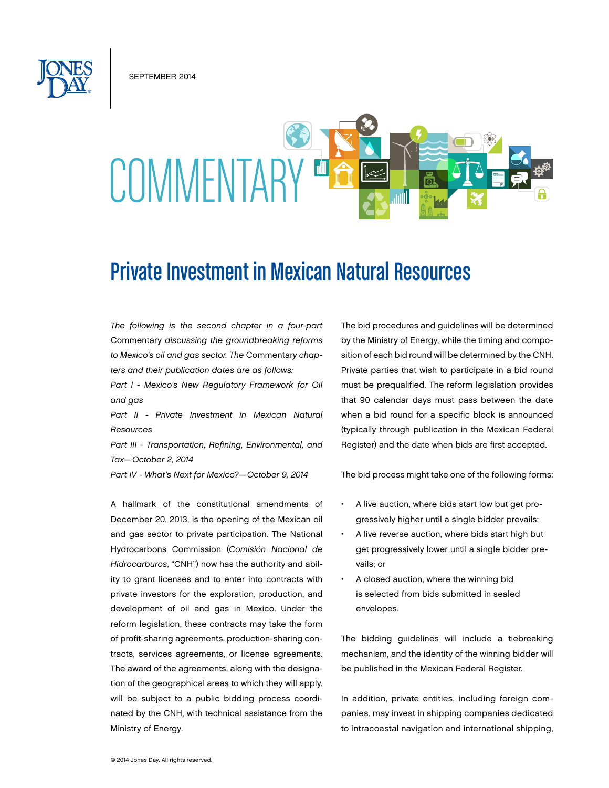September 2014

# COMMENTAE

# Private Investment in Mexican Natural Resources

*The following is the second chapter in a four-part*  Commentary *discussing the groundbreaking reforms to Mexico's oil and gas sector. The* Commentar*y chapters and their publication dates are as follows:*

*Part I - Mexico's New Regulatory Framework for Oil and gas*

*Part II - Private Investment in Mexican Natural Resources*

*Part III - Transportation, Refining, Environmental, and Tax—October 2, 2014*

*Part IV - What's Next for Mexico?—October 9, 2014*

A hallmark of the constitutional amendments of December 20, 2013, is the opening of the Mexican oil and gas sector to private participation. The National Hydrocarbons Commission (*Comisión Nacional de Hidrocarburos*, "CNH") now has the authority and ability to grant licenses and to enter into contracts with private investors for the exploration, production, and development of oil and gas in Mexico. Under the reform legislation, these contracts may take the form of profit-sharing agreements, production-sharing contracts, services agreements, or license agreements. The award of the agreements, along with the designation of the geographical areas to which they will apply, will be subject to a public bidding process coordinated by the CNH, with technical assistance from the Ministry of Energy.

The bid procedures and guidelines will be determined by the Ministry of Energy, while the timing and composition of each bid round will be determined by the CNH. Private parties that wish to participate in a bid round must be prequalified. The reform legislation provides that 90 calendar days must pass between the date when a bid round for a specific block is announced (typically through publication in the Mexican Federal Register) and the date when bids are first accepted.

The bid process might take one of the following forms:

- A live auction, where bids start low but get progressively higher until a single bidder prevails;
- A live reverse auction, where bids start high but get progressively lower until a single bidder prevails; or
- A closed auction, where the winning bid is selected from bids submitted in sealed envelopes.

The bidding guidelines will include a tiebreaking mechanism, and the identity of the winning bidder will be published in the Mexican Federal Register.

In addition, private entities, including foreign companies, may invest in shipping companies dedicated to intracoastal navigation and international shipping,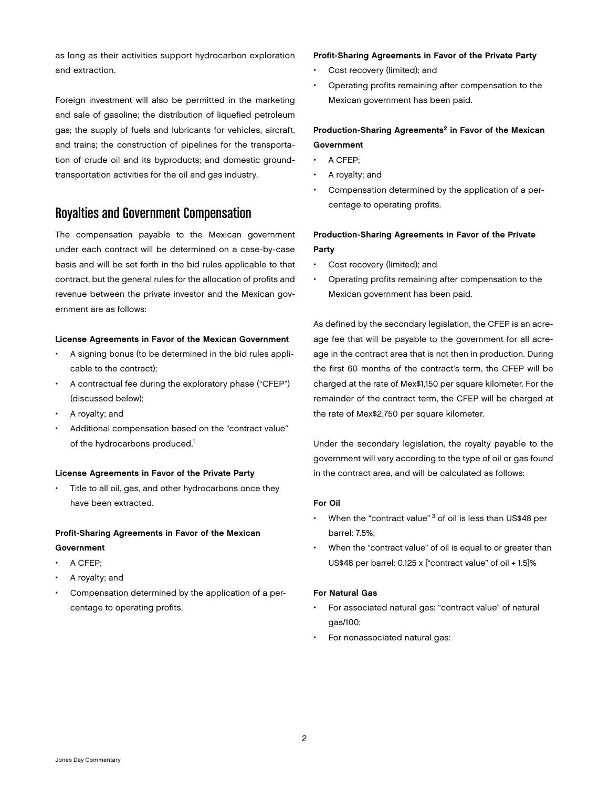as long as their activities support hydrocarbon exploration and extraction.

Foreign investment will also be permitted in the marketing and sale of gasoline; the distribution of liquefied petroleum gas; the supply of fuels and lubricants for vehicles, aircraft, and trains; the construction of pipelines for the transportation of crude oil and its byproducts; and domestic groundtransportation activities for the oil and gas industry.

# Royalties and Government Compensation

The compensation payable to the Mexican government under each contract will be determined on a case-by-case basis and will be set forth in the bid rules applicable to that contract, but the general rules for the allocation of profits and revenue between the private investor and the Mexican government are as follows:

#### License Agreements in Favor of the Mexican Government

- A signing bonus (to be determined in the bid rules applicable to the contract);
- A contractual fee during the exploratory phase ("CFEP") (discussed below);
- A royalty; and
- Additional compensation based on the "contract value" of the hydrocarbons produced.<sup>1</sup>

#### License Agreements in Favor of the Private Party

Title to all oil, gas, and other hydrocarbons once they have been extracted.

#### Profit-Sharing Agreements in Favor of the Mexican Government

- A CFEP:
- A royalty; and
- Compensation determined by the application of a percentage to operating profits.

#### Profit-Sharing Agreements in Favor of the Private Party

- Cost recovery (limited); and
- Operating profits remaining after compensation to the Mexican government has been paid.

#### Production-Sharing Agreements<sup>2</sup> in Favor of the Mexican Government

- A CFEP;
- A royalty; and
- Compensation determined by the application of a percentage to operating profits.

#### Production-Sharing Agreements in Favor of the Private Party

- Cost recovery (limited); and
- Operating profits remaining after compensation to the Mexican government has been paid.

As defined by the secondary legislation, the CFEP is an acreage fee that will be payable to the government for all acreage in the contract area that is not then in production. During the first 60 months of the contract's term, the CFEP will be charged at the rate of Mex\$1,150 per square kilometer. For the remainder of the contract term, the CFEP will be charged at the rate of Mex\$2,750 per square kilometer.

Under the secondary legislation, the royalty payable to the government will vary according to the type of oil or gas found in the contract area, and will be calculated as follows:

#### For Oil

- When the "contract value"  $3$  of oil is less than US\$48 per barrel: 7.5%;
- When the "contract value" of oil is equal to or greater than US\$48 per barrel: 0.125 x ["contract value" of oil + 1.5]%

#### For Natural Gas

- For associated natural gas: "contract value" of natural gas/100;
- For nonassociated natural gas: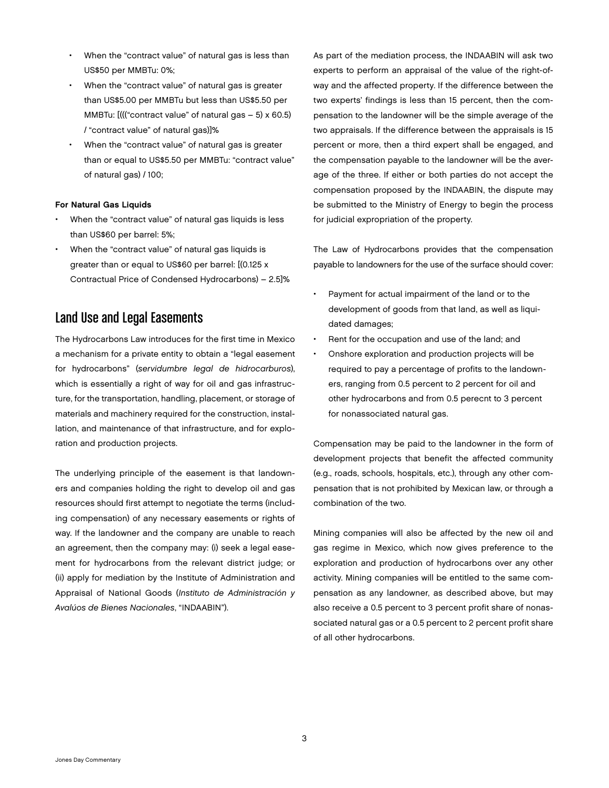- When the "contract value" of natural gas is less than US\$50 per MMBTu: 0%;
- When the "contract value" of natural gas is greater than US\$5.00 per MMBTu but less than US\$5.50 per MMBTu: [((("contract value" of natural gas – 5) x 60.5) / "contract value" of natural gas)]%
- When the "contract value" of natural gas is greater than or equal to US\$5.50 per MMBTu: "contract value" of natural gas) / 100;

#### For Natural Gas Liquids

- When the "contract value" of natural gas liquids is less than US\$60 per barrel: 5%;
- When the "contract value" of natural gas liquids is greater than or equal to US\$60 per barrel: [(0.125 x Contractual Price of Condensed Hydrocarbons) – 2.5]%

## Land Use and Legal Easements

The Hydrocarbons Law introduces for the first time in Mexico a mechanism for a private entity to obtain a "legal easement for hydrocarbons" (*servidumbre legal de hidrocarburos*), which is essentially a right of way for oil and gas infrastructure, for the transportation, handling, placement, or storage of materials and machinery required for the construction, installation, and maintenance of that infrastructure, and for exploration and production projects.

The underlying principle of the easement is that landowners and companies holding the right to develop oil and gas resources should first attempt to negotiate the terms (including compensation) of any necessary easements or rights of way. If the landowner and the company are unable to reach an agreement, then the company may: (i) seek a legal easement for hydrocarbons from the relevant district judge; or (ii) apply for mediation by the Institute of Administration and Appraisal of National Goods (*Instituto de Administración y Avalúos de Bienes Nacionales*, "INDAABIN").

As part of the mediation process, the INDAABIN will ask two experts to perform an appraisal of the value of the right-ofway and the affected property. If the difference between the two experts' findings is less than 15 percent, then the compensation to the landowner will be the simple average of the two appraisals. If the difference between the appraisals is 15 percent or more, then a third expert shall be engaged, and the compensation payable to the landowner will be the average of the three. If either or both parties do not accept the compensation proposed by the INDAABIN, the dispute may be submitted to the Ministry of Energy to begin the process for judicial expropriation of the property.

The Law of Hydrocarbons provides that the compensation payable to landowners for the use of the surface should cover:

- Payment for actual impairment of the land or to the development of goods from that land, as well as liquidated damages;
- Rent for the occupation and use of the land; and
- Onshore exploration and production projects will be required to pay a percentage of profits to the landowners, ranging from 0.5 percent to 2 percent for oil and other hydrocarbons and from 0.5 perecnt to 3 percent for nonassociated natural gas.

Compensation may be paid to the landowner in the form of development projects that benefit the affected community (e.g., roads, schools, hospitals, etc.), through any other compensation that is not prohibited by Mexican law, or through a combination of the two.

Mining companies will also be affected by the new oil and gas regime in Mexico, which now gives preference to the exploration and production of hydrocarbons over any other activity. Mining companies will be entitled to the same compensation as any landowner, as described above, but may also receive a 0.5 percent to 3 percent profit share of nonassociated natural gas or a 0.5 percent to 2 percent profit share of all other hydrocarbons.